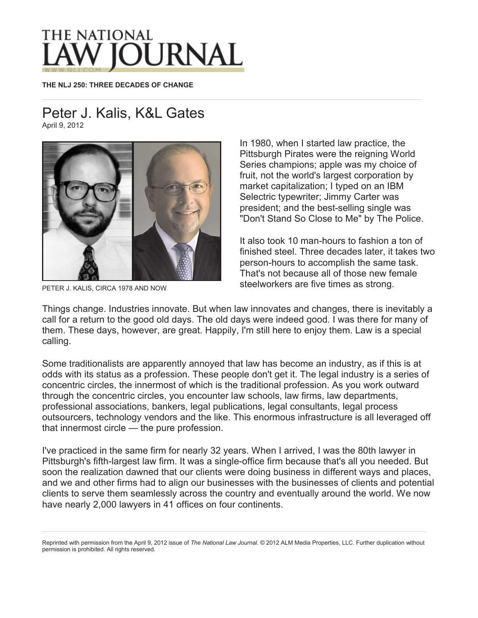## THE NATIONAL

**THE NLJ 250: THREE DECADES OF CHANGE**

## Peter J. Kalis, K&L Gates

April 9, 2012



PETER J. KALIS, CIRCA 1978 AND NOW

In 1980, when I started law practice, the Pittsburgh Pirates were the reigning World Series champions; apple was my choice of fruit, not the world's largest corporation by market capitalization; I typed on an IBM Selectric typewriter; Jimmy Carter was president; and the best-selling single was "Don't Stand So Close to Me" by The Police.

It also took 10 man-hours to fashion a ton of finished steel. Three decades later, it takes two person-hours to accomplish the same task. That's not because all of those new female steelworkers are five times as strong.

Things change. Industries innovate. But when law innovates and changes, there is inevitably a call for a return to the good old days. The old days were indeed good. I was there for many of them. These days, however, are great. Happily, I'm still here to enjoy them. Law is a special calling.

Some traditionalists are apparently annoyed that law has become an industry, as if this is at odds with its status as a profession. These people don't get it. The legal industry is a series of concentric circles, the innermost of which is the traditional profession. As you work outward through the concentric circles, you encounter law schools, law firms, law departments, professional associations, bankers, legal publications, legal consultants, legal process outsourcers, technology vendors and the like. This enormous infrastructure is all leveraged off that innermost circle — the pure profession.

I've practiced in the same firm for nearly 32 years. When I arrived, I was the 80th lawyer in Pittsburgh's fifth-largest law firm. It was a single-office firm because that's all you needed. But soon the realization dawned that our clients were doing business in different ways and places, and we and other firms had to align our businesses with the businesses of clients and potential clients to serve them seamlessly across the country and eventually around the world. We now have nearly 2,000 lawyers in 41 offices on four continents.

Reprinted with permission from the April 9, 2012 issue of *The National Law Journal*. © 2012 ALM Media Properties, LLC. Further duplication without permission is prohibited. All rights reserved.